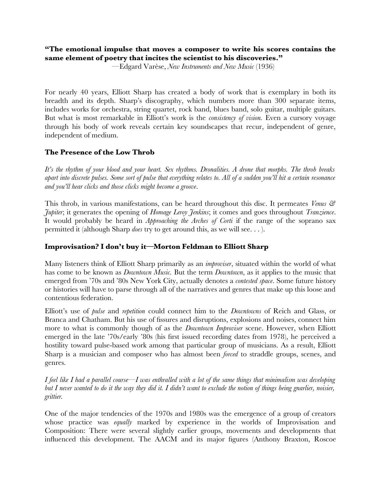## **"The emotional impulse that moves a composer to write his scores contains the same element of poetry that incites the scientist to his discoveries."**

—Edgard Varèse, *New Instruments and New Music* (1936)

For nearly 40 years, Elliott Sharp has created a body of work that is exemplary in both its breadth and its depth. Sharp's discography, which numbers more than 300 separate items, includes works for orchestra, string quartet, rock band, blues band, solo guitar, multiple guitars. But what is most remarkable in Elliott's work is the *consistency of vision.* Even a cursory voyage through his body of work reveals certain key soundscapes that recur, independent of genre, independent of medium.

### **The Presence of the Low Throb**

It's the rhythm of your blood and your heart. Sex rhythms. Dronalities. A drone that morphs. The throb breaks apart into discrete pulses. Some sort of pulse that everything relates to. All of a sudden you'll hit a certain resonance *and you'll hear clicks and those clicks might become a groove*.

This throb, in various manifestations, can be heard throughout this disc. It permeates *Venus & Jupiter*; it generates the opening of *Homage Leroy Jenkins*; it comes and goes throughout *Tranzience*. It would probably be heard in *Approaching the Arches of Corti* if the range of the soprano sax permitted it (although Sharp *does* try to get around this, as we will see. . . ).

#### **Improvisation? I don't buy it—Morton Feldman to Elliott Sharp**

Many listeners think of Elliott Sharp primarily as an *improviser*, situated within the world of what has come to be known as *Downtown Music.* But the term *Downtown*, as it applies to the music that emerged from '70s and '80s New York City, actually denotes a *contested space*. Some future history or histories will have to parse through all of the narratives and genres that make up this loose and contentious federation.

Elliott's use of *pulse* and *repetition* could connect him to the *Downtowns* of Reich and Glass, or Branca and Chatham. But his use of fissures and disruptions, explosions and noises, connect him more to what is commonly though of as the *Downtown Improviser* scene. However, when Elliott emerged in the late '70s/early '80s (his first issued recording dates from 1978), he perceived a hostility toward pulse-based work among that particular group of musicians. As a result, Elliott Sharp is a musician and composer who has almost been *forced* to straddle groups, scenes, and genres.

I feel like I had a parallel course—I was enthralled with a lot of the same things that minimalism was developing but I never wanted to do it the way they did it. I didn't want to exclude the notion of things being gnarlier, noisier, *grittier.*

One of the major tendencies of the 1970s and 1980s was the emergence of a group of creators whose practice was *equally* marked by experience in the worlds of Improvisation and Composition: There were several slightly earlier groups, movements and developments that influenced this development. The AACM and its major figures (Anthony Braxton, Roscoe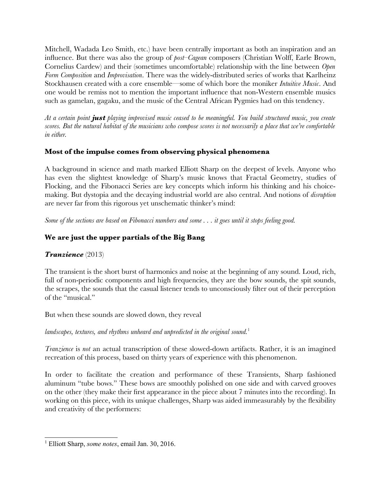Mitchell, Wadada Leo Smith, etc.) have been centrally important as both an inspiration and an influence. But there was also the group of *post–Cagean* composers (Christian Wolff, Earle Brown, Cornelius Cardew) and their (sometimes uncomfortable) relationship with the line between *Open Form Composition* and *Improvisation*. There was the widely-distributed series of works that Karlheinz Stockhausen created with a core ensemble—some of which bore the moniker *Intuitive Music*. And one would be remiss not to mention the important influence that non-Western ensemble musics such as gamelan, gagaku, and the music of the Central African Pygmies had on this tendency.

At a certain point **just** playing improvised music ceased to be meaningful. You build structured music, you create scores. But the natural habitat of the musicians who compose scores is not necessarily a place that we're comfortable *in either.*

### **Most of the impulse comes from observing physical phenomena**

A background in science and math marked Elliott Sharp on the deepest of levels. Anyone who has even the slightest knowledge of Sharp's music knows that Fractal Geometry, studies of Flocking, and the Fibonacci Series are key concepts which inform his thinking and his choicemaking. But dystopia and the decaying industrial world are also central. And notions of *disruption* are never far from this rigorous yet unschematic thinker's mind:

*Some of the sections are based on Fibonacci numbers and some . . . it goes until it stops feeling good.*

# **We are just the upper partials of the Big Bang**

## *Tranzience* (2013)

The transient is the short burst of harmonics and noise at the beginning of any sound. Loud, rich, full of non-periodic components and high frequencies, they are the bow sounds, the spit sounds, the scrapes, the sounds that the casual listener tends to unconsciously filter out of their perception of the "musical."

But when these sounds are slowed down, they reveal

*landscapes, textures, and rhythms unheard and unpredicted in the original sound.*<sup>1</sup>

*Tranzience* is *not* an actual transcription of these slowed-down artifacts. Rather, it is an imagined recreation of this process, based on thirty years of experience with this phenomenon.

In order to facilitate the creation and performance of these Transients, Sharp fashioned aluminum "tube bows." These bows are smoothly polished on one side and with carved grooves on the other (they make their first appearance in the piece about 7 minutes into the recording). In working on this piece, with its unique challenges, Sharp was aided immeasurably by the flexibility and creativity of the performers:

<sup>1</sup> Elliott Sharp, *some notes*, email Jan. 30, 2016.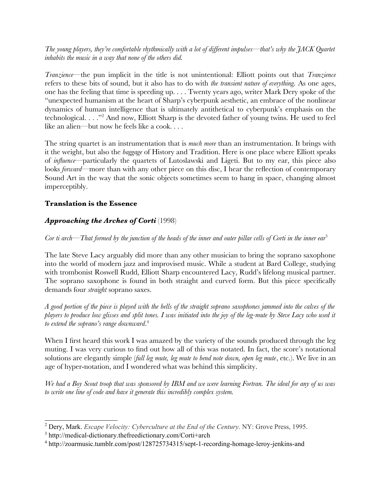*The young players, they're comfortable rhythmically with a lot of different impulses—that's why the JACK Quartet inhabits the music in a way that none of the others did.*

*Tranzience—*the pun implicit in the title is not unintentional: Elliott points out that *Tranzience* refers to these bits of sound, but it also has to do with *the transient nature of everything.* As one ages, one has the feeling that time is speeding up. . . . Twenty years ago, writer Mark Dery spoke of the "unexpected humanism at the heart of Sharp's cyberpunk aesthetic, an embrace of the nonlinear dynamics of human intelligence that is ultimately antithetical to cyberpunk's emphasis on the technological. . . ."2 And now, Elliott Sharp is the devoted father of young twins. He used to feel like an alien*—*but now he feels like a cook. . . .

The string quartet is an instrumentation that is *much more* than an instrumentation. It brings with it the weight, but also the *baggage* of History and Tradition. Here is one place where Elliott speaks of *influence—*particularly the quartets of Lutoslawski and Ligeti. But to my ear, this piece also looks *forward*—more than with any other piece on this disc, I hear the reflection of contemporary Sound Art in the way that the sonic objects sometimes seem to hang in space, changing almost imperceptibly.

## **Translation is the Essence**

## *Approaching the Arches of Corti* (1998)

*Cor ti arch—That formed by the junction of the heads of the inner and outer pillar cells of Corti in the inner ear*<sup>3</sup>

The late Steve Lacy arguably did more than any other musician to bring the soprano saxophone into the world of modern jazz and improvised music. While a student at Bard College, studying with trombonist Roswell Rudd, Elliott Sharp encountered Lacy, Rudd's lifelong musical partner. The soprano saxophone is found in both straight and curved form. But this piece specifically demands four *straight* soprano saxes.

A good portion of the piece is played with the bells of the straight soprano saxophones jammed into the calves of the players to produce low glisses and split tones. I was initiated into the joy of the leg-mute by Steve Lacy who used it *to extend the soprano's range downward*. 4

When I first heard this work I was amazed by the variety of the sounds produced through the leg muting. I was very curious to find out how all of this was notated. In fact, the score's notational solutions are elegantly simple (*full leg mute, leg mute to bend note down, open leg mute*, etc.). We live in an age of hyper-notation, and I wondered what was behind this simplicity.

We had a Boy Scout troop that was sponsored by IBM and we were learning Fortran. The ideal for any of us was *to write one line of code and have it generate this incredibly complex system.*

<sup>2</sup> Dery, Mark. *Escape Velocity: Cyberculture at the End of the Century*. NY: Grove Press, 1995.

<sup>3</sup> http://medical-dictionary.thefreedictionary.com/Corti+arch

<sup>&</sup>lt;sup>4</sup> http://zoarmusic.tumblr.com/post/128725734315/sept-1-recording-homage-leroy-jenkins-and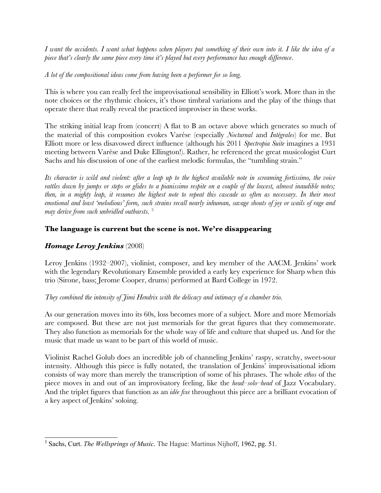I want the accidents. I want what happens when players put something of their own into it. I like the idea of a *piece that's clearly the same piece every time it's played but every performance has enough difference*.

*A lot of the compositional ideas come from having been a performer for so long.*

This is where you can really feel the improvisational sensibility in Elliott's work. More than in the note choices or the rhythmic choices, it's those timbral variations and the play of the things that operate there that really reveal the practiced improviser in these works.

The striking initial leap from (concert) A flat to B an octave above which generates so much of the material of this composition evokes Varèse (especially *Nocturnal* and *Intégrales*) for me. But Elliott more or less disavowed direct influence (although his 2011 *Spectropia Suite* imagines a 1931 meeting between Varèse and Duke Ellington!). Rather, he referenced the great musicologist Curt Sachs and his discussion of one of the earliest melodic formulas, the "tumbling strain."

Its character is wild and violent: after a leap up to the highest available note in screaming fortissimo, the voice rattles down by jumps or steps or glides to a pianissimo respite on a couple of the lowest, almost inaudible notes; then, in a mighty leap, it resumes the highest note to repeat this cascade as often as necessary. In their most emotional and least 'melodious' form, such strains recall nearly inhuman, savage shouts of joy or wails of rage and *may derive from such unbridled outbursts.* <sup>5</sup>

## **The language is current but the scene is not. We're disappearing**

## *Homage Leroy Jenkins* (2008)

Leroy Jenkins (1932–2007), violinist, composer, and key member of the AACM. Jenkins' work with the legendary Revolutionary Ensemble provided a early key experience for Sharp when this trio (Sirone, bass; Jerome Cooper, drums) performed at Bard College in 1972.

### *They combined the intensity of Jimi Hendrix with the delicacy and intimacy of a chamber trio.*

As our generation moves into its 60s, loss becomes more of a subject. More and more Memorials are composed. But these are not just memorials for the great figures that they commemorate. They also function as memorials for the whole way of life and culture that shaped us. And for the music that made us want to be part of this world of music.

Violinist Rachel Golub does an incredible job of channeling Jenkins' raspy, scratchy, sweet-sour intensity. Although this piece is fully notated, the translation of Jenkins' improvisational idiom consists of way more than merely the transcription of some of his phrases. The whole *ethos* of the piece moves in and out of an improvisatory feeling, like the *head–solo–head* of Jazz Vocabulary. And the triplet figures that function as an *idée fixe* throughout this piece are a brilliant evocation of a key aspect of Jenkins' soloing.

<sup>5</sup> Sachs, Curt. *The Wellsprings of Music*. The Hague: Martinus Nijhoff, 1962, pg. 51.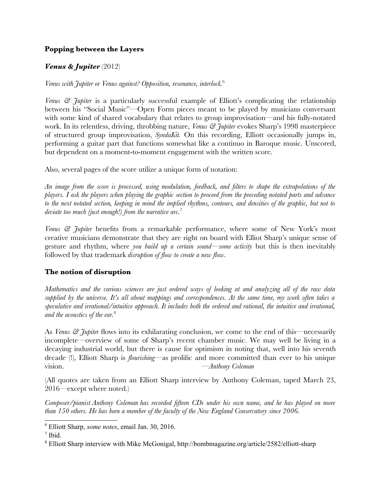## **Popping between the Layers**

## *Venus & Jupiter* (2012)

*Venus with Jupiter or Venus against? Opposition, resonance, interlock.*<sup>6</sup>

*Venus*  $\mathcal{C}$  *Tubiter* is a particularly successful example of Elliott's complicating the relationship between his "Social Music"—Open Form pieces meant to be played by musicians conversant with some kind of shared vocabulary that relates to group improvisation—and his fully-notated work. In its relentless, driving, throbbing nature, *Venus & Jupiter* evokes Sharp's 1998 masterpiece of structured group improvisation, *SyndaKit.* On this recording, Elliott occasionally jumps in, performing a guitar part that functions somewhat like a continuo in Baroque music. Unscored, but dependent on a moment-to-moment engagement with the written score.

Also, several pages of the score utilize a unique form of notation:

An image from the score is processed, using modulation, feedback, and filters to shape the extrapolations of the players. I ask the players when playing the graphic section to proceed from the preceding notated parts and advance to the next notated section, keeping in mind the implied rhythms, contours, and densities of the graphic, but not to *deviate too much (just enough!) from the narrative arc.*<sup>7</sup>

*Venus & Jupiter* benefits from a remarkable performance, where some of New York's most creative musicians demonstrate that they are right on board with Elliot Sharp's unique sense of gesture and rhythm, where *you build up a certain sound*—*some activity* but this is then inevitably followed by that trademark *disruption of flow to create a new flow*.

## **The notion of disruption**

Mathematics and the various sciences are just ordered ways of looking at and analyzing all of the raw data supplied by the universe. It's all about mappings and correspondences. At the same time, my work often takes a *speculative and irrational/intuitive approach. It includes both the ordered and rational, the intuitive and irrational, and the acoustics of the ear.*<sup>8</sup>

As *Venus & Jupiter* flows into its exhilarating conclusion, we come to the end of this—necessarily incomplete—overview of some of Sharp's recent chamber music. We may well be living in a decaying industrial world, but there is cause for optimism in noting that, well into his seventh decade (!), Elliott Sharp is *flourishing*—as prolific and more committed than ever to his unique vision. —*Anthony Coleman*

(All quotes are taken from an Elliott Sharp interview by Anthony Coleman, taped March 23, 2016—except where noted.)

*Composer/pianist Anthony Coleman has recorded fifteen CDs under his own name, and he has played on more than 150 others. He has been a member of the faculty of the New England Conservatory since 2006.*

<sup>6</sup> Elliott Sharp, *some notes*, email Jan. 30, 2016.

<sup>7</sup> Ibid.

<sup>8</sup> Elliott Sharp interview with Mike McGonigal, http://bombmagazine.org/article/2582/elliott-sharp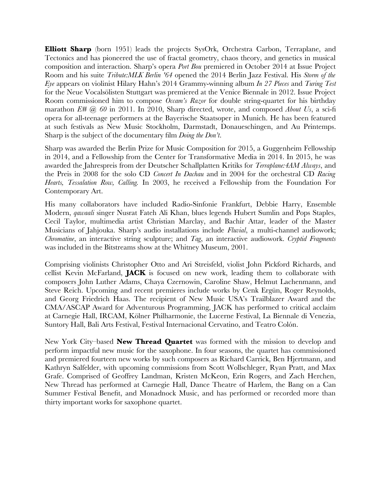**Elliott Sharp** (born 1951) leads the projects SysOrk, Orchestra Carbon, Terraplane, and Tectonics and has pioneered the use of fractal geometry, chaos theory, and genetics in musical composition and interaction. Sharp's opera *Port Bou* premiered in October 2014 at Issue Project Room and his suite *Tribute:MLK Berlin '64* opened the 2014 Berlin Jazz Festival. His *Storm of the Eye* appears on violinist Hilary Hahn's 2014 Grammy-winning album *In 27 Pieces* and *Turing Test* for the Neue Vocalsölisten Stuttgart was premiered at the Venice Biennale in 2012. Issue Project Room commissioned him to compose *Occam's Razor* for double string-quartet for his birthday marathon *E# @ 60* in 2011. In 2010, Sharp directed, wrote, and composed *About Us*, a sci-fi opera for all-teenage performers at the Bayerische Staatsoper in Munich. He has been featured at such festivals as New Music Stockholm, Darmstadt, Donaueschingen, and Au Printemps. Sharp is the subject of the documentary film *Doing the Don't*.

Sharp was awarded the Berlin Prize for Music Composition for 2015, a Guggenheim Fellowship in 2014, and a Fellowship from the Center for Transformative Media in 2014. In 2015, he was awarded the Jahrespreis from der Deutscher Schallplatten Kritiks for *Terraplane:4AM Always*, and the Preis in 2008 for the solo CD *Concert In Dachau* and in 2004 for the orchestral CD *Racing Hearts, Tessalation Row, Calling.* In 2003, he received a Fellowship from the Foundation For Contemporary Art.

His many collaborators have included Radio-Sinfonie Frankfurt, Debbie Harry, Ensemble Modern, *qawaali* singer Nusrat Fateh Ali Khan, blues legends Hubert Sumlin and Pops Staples, Cecil Taylor, multimedia artist Christian Marclay, and Bachir Attar, leader of the Master Musicians of Jahjouka. Sharp's audio installations include *Fluvial*, a multi-channel audiowork; *Chromatine*, an interactive string sculpture; and *Tag*, an interactive audiowork. *Cryptid Fragments* was included in the Bitstreams show at the Whitney Museum, 2001.

Comprising violinists Christopher Otto and Ari Streisfeld, violist John Pickford Richards, and cellist Kevin McFarland, **JACK** is focused on new work, leading them to collaborate with composers John Luther Adams, Chaya Czernowin, Caroline Shaw, Helmut Lachenmann, and Steve Reich. Upcoming and recent premieres include works by Cenk Ergün, Roger Reynolds, and Georg Friedrich Haas. The recipient of New Music USA's Trailblazer Award and the CMA/ASCAP Award for Adventurous Programming, JACK has performed to critical acclaim at Carnegie Hall, IRCAM, Kölner Philharmonie, the Lucerne Festival, La Biennale di Venezia, Suntory Hall, Bali Arts Festival, Festival Internacional Cervatino, and Teatro Colón.

New York City–based **New Thread Quartet** was formed with the mission to develop and perform impactful new music for the saxophone. In four seasons, the quartet has commissioned and premiered fourteen new works by such composers as Richard Carrick, Ben Hjertmann, and Kathryn Salfelder, with upcoming commissions from Scott Wollschleger, Ryan Pratt, and Max Grafe. Comprised of Geoffrey Landman, Kristen McKeon, Erin Rogers, and Zach Herchen, New Thread has performed at Carnegie Hall, Dance Theatre of Harlem, the Bang on a Can Summer Festival Benefit, and Monadnock Music, and has performed or recorded more than thirty important works for saxophone quartet.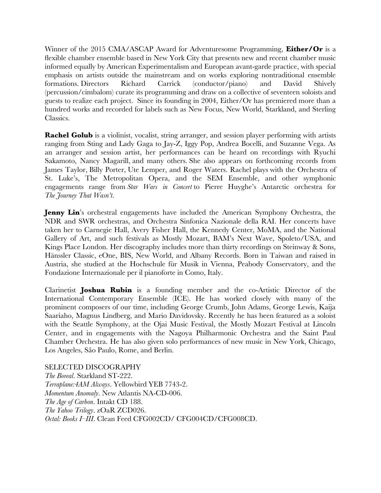Winner of the 2015 CMA/ASCAP Award for Adventuresome Programming, **Either/Or** is a flexible chamber ensemble based in New York City that presents new and recent chamber music informed equally by American Experimentalism and European avant-garde practice, with special emphasis on artists outside the mainstream and on works exploring nontraditional ensemble formations. Directors Richard Carrick (conductor/piano) and David Shively (percussion/cimbalom) curate its programming and draw on a collective of seventeen soloists and guests to realize each project. Since its founding in 2004, Either/Or has premiered more than a hundred works and recorded for labels such as New Focus, New World, Starkland, and Sterling Classics.

**Rachel Golub** is a violinist, vocalist, string arranger, and session player performing with artists ranging from Sting and Lady Gaga to Jay-Z, Iggy Pop, Andrea Bocelli, and Suzanne Vega. As an arranger and session artist, her performances can be heard on recordings with Ryuchi Sakamoto, Nancy Magarill, and many others. She also appears on forthcoming records from James Taylor, Billy Porter, Ute Lemper, and Roger Waters. Rachel plays with the Orchestra of St. Luke's, The Metropolitan Opera, and the SEM Ensemble, and other symphonic engagements range from *Star Wars in Concert* to Pierre Huyghe's Antarctic orchestra for *The Journey That Wasn't*.

**Jenny Lin**'s orchestral engagements have included the American Symphony Orchestra, the NDR and SWR orchestras, and Orchestra Sinfonica Nazionale della RAI. Her concerts have taken her to Carnegie Hall, Avery Fisher Hall, the Kennedy Center, MoMA, and the National Gallery of Art, and such festivals as Mostly Mozart, BAM's Next Wave, Spoleto/USA, and Kings Place London. Her discography includes more than thirty recordings on Steinway & Sons, Hänssler Classic, eOne, BIS, New World, and Albany Records. Born in Taiwan and raised in Austria, she studied at the Hochschule für Musik in Vienna, Peabody Conservatory, and the Fondazione Internazionale per il pianoforte in Como, Italy.

Clarinetist **Joshua Rubin** is a founding member and the co-Artistic Director of the International Contemporary Ensemble (ICE). He has worked closely with many of the prominent composers of our time, including George Crumb, John Adams, George Lewis, Kaija Saariaho, Magnus Lindberg, and Mario Davidovsky. Recently he has been featured as a soloist with the Seattle Symphony, at the Ojai Music Festival, the Mostly Mozart Festival at Lincoln Center, and in engagements with the Nagoya Philharmonic Orchestra and the Saint Paul Chamber Orchestra. He has also given solo performances of new music in New York, Chicago, Los Angeles, São Paulo, Rome, and Berlin.

SELECTED DISCOGRAPHY *The Boreal*. Starkland ST-222. *Terraplane:4AM Always*. Yellowbird YEB 7743-2. *Momentum Anomaly*. New Atlantis NA-CD-006. *The Age of Carbon*. Intakt CD 188. *The Yahoo Trilogy*. zOaR ZCD026. *Octal: Books I–III*. Clean Feed CFG002CD/ CFG004CD/CFG008CD.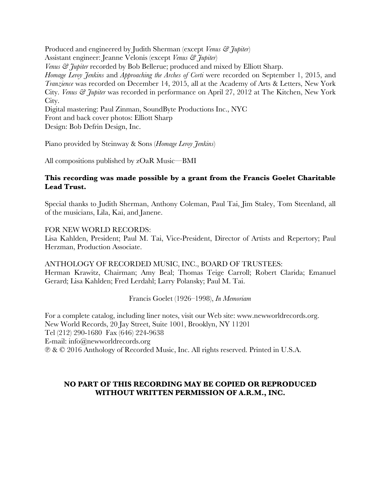Produced and engineered by Judith Sherman (except *Venus & Jupiter*) Assistant engineer: Jeanne Velonis (except *Venus & Jupiter*) *Venus & Jupiter* recorded by Bob Bellerue; produced and mixed by Elliott Sharp. *Homage Leroy Jenkins* and *Approaching the Arches of Corti* were recorded on September 1, 2015, and *Tranzience* was recorded on December 14, 2015, all at the Academy of Arts & Letters, New York City. *Venus & Jupiter* was recorded in performance on April 27, 2012 at The Kitchen, New York City. Digital mastering: Paul Zinman, SoundByte Productions Inc., NYC Front and back cover photos: Elliott Sharp Design: Bob Defrin Design, Inc.

Piano provided by Steinway & Sons (*Homage Leroy Jenkins*)

All compositions published by zOaR Music—BMI

#### **This recording was made possible by a grant from the Francis Goelet Charitable Lead Trust.**

Special thanks to Judith Sherman, Anthony Coleman, Paul Tai, Jim Staley, Tom Steenland, all of the musicians, Lila, Kai, and Janene.

#### FOR NEW WORLD RECORDS:

Lisa Kahlden, President; Paul M. Tai, Vice-President, Director of Artists and Repertory; Paul Herzman, Production Associate.

ANTHOLOGY OF RECORDED MUSIC, INC., BOARD OF TRUSTEES: Herman Krawitz, Chairman; Amy Beal; Thomas Teige Carroll; Robert Clarida; Emanuel Gerard; Lisa Kahlden; Fred Lerdahl; Larry Polansky; Paul M. Tai.

Francis Goelet (1926–1998), *In Memoriam*

For a complete catalog, including liner notes, visit our Web site: www.newworldrecords.org. New World Records, 20 Jay Street, Suite 1001, Brooklyn, NY 11201 Tel (212) 290-1680 Fax (646) 224-9638 E-mail: info@newworldrecords.org ℗ & © 2016 Anthology of Recorded Music, Inc. All rights reserved. Printed in U.S.A.

### **NO PART OF THIS RECORDING MAY BE COPIED OR REPRODUCED WITHOUT WRITTEN PERMISSION OF A.R.M., INC.**